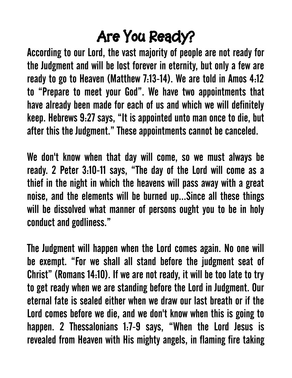## **Are You Ready?**

According to our Lord, the vast majority of people are not ready for the Judgment and will be lost forever in eternity, but only a few are ready to go to Heaven (Matthew 7:13-14). We are told in Amos 4:12 to "Prepare to meet your God". We have two appointments that have already been made for each of us and which we will definitely keep. Hebrews 9:27 says, "It is appointed unto man once to die, but after this the Judgment." These appointments cannot be canceled.

We don't know when that day will come, so we must always be ready. 2 Peter 3:10-11 says, "The day of the Lord will come as a thief in the night in which the heavens will pass away with a great noise, and the elements will be burned up...Since all these things will be dissolved what manner of persons ought you to be in holy conduct and godliness."

The Judgment will happen when the Lord comes again. No one will be exempt. "For we shall all stand before the judgment seat of Christ" (Romans 14:10). If we are not ready, it will be too late to try to get ready when we are standing before the Lord in Judgment. Our eternal fate is sealed either when we draw our last breath or if the Lord comes before we die, and we don't know when this is going to happen. 2 Thessalonians 1:7-9 says, "When the Lord Jesus is revealed from Heaven with His mighty angels, in flaming fire taking